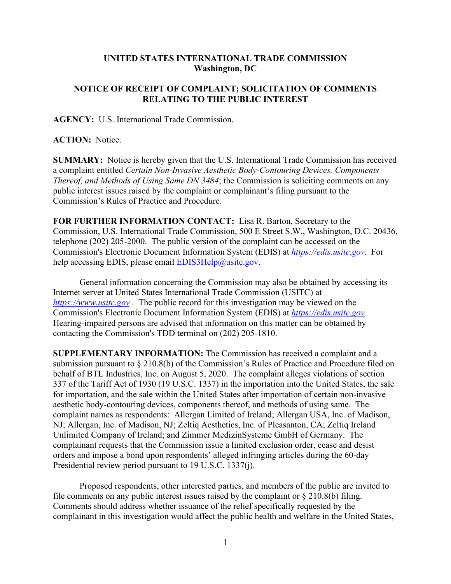## **UNITED STATES INTERNATIONAL TRADE COMMISSION Washington, DC**

## **NOTICE OF RECEIPT OF COMPLAINT; SOLICITATION OF COMMENTS RELATING TO THE PUBLIC INTEREST**

**AGENCY:** U.S. International Trade Commission.

**ACTION:** Notice.

**SUMMARY:** Notice is hereby given that the U.S. International Trade Commission has received a complaint entitled *Certain Non-Invasive Aesthetic Body-Contouring Devices, Components Thereof, and Methods of Using Same DN 3484*; the Commission is soliciting comments on any public interest issues raised by the complaint or complainant's filing pursuant to the Commission's Rules of Practice and Procedure.

**FOR FURTHER INFORMATION CONTACT:** Lisa R. Barton, Secretary to the Commission, U.S. International Trade Commission, 500 E Street S.W., Washington, D.C. 20436, telephone (202) 205-2000. The public version of the complaint can be accessed on the Commission's Electronic Document Information System (EDIS) at *[https://edis.usitc.gov](https://edis.usitc.gov/)*. For help accessing EDIS, please email  $EDIS3Help@usite.gov$ .

General information concerning the Commission may also be obtained by accessing its Internet server at United States International Trade Commission (USITC) at *[https://www.usitc.gov](https://www.usitc.gov/)* . The public record for this investigation may be viewed on the Commission's Electronic Document Information System (EDIS) at *[https://edis.usitc.gov.](https://edis.usitc.gov/)* Hearing-impaired persons are advised that information on this matter can be obtained by contacting the Commission's TDD terminal on (202) 205-1810.

**SUPPLEMENTARY INFORMATION:** The Commission has received a complaint and a submission pursuant to § 210.8(b) of the Commission's Rules of Practice and Procedure filed on behalf of BTL Industries, Inc. on August 5, 2020. The complaint alleges violations of section 337 of the Tariff Act of 1930 (19 U.S.C. 1337) in the importation into the United States, the sale for importation, and the sale within the United States after importation of certain non-invasive aesthetic body-contouring devices, components thereof, and methods of using same. The complaint names as respondents: Allergan Limited of Ireland; Allergan USA, Inc. of Madison, NJ; Allergan, Inc. of Madison, NJ; Zeltiq Aesthetics, Inc. of Pleasanton, CA; Zeltiq Ireland Unlimited Company of Ireland; and Zimmer MedizinSysteme GmbH of Germany. The complainant requests that the Commission issue a limited exclusion order, cease and desist orders and impose a bond upon respondents' alleged infringing articles during the 60-day Presidential review period pursuant to 19 U.S.C. 1337(j).

Proposed respondents, other interested parties, and members of the public are invited to file comments on any public interest issues raised by the complaint or  $\S 210.8(b)$  filing. Comments should address whether issuance of the relief specifically requested by the complainant in this investigation would affect the public health and welfare in the United States,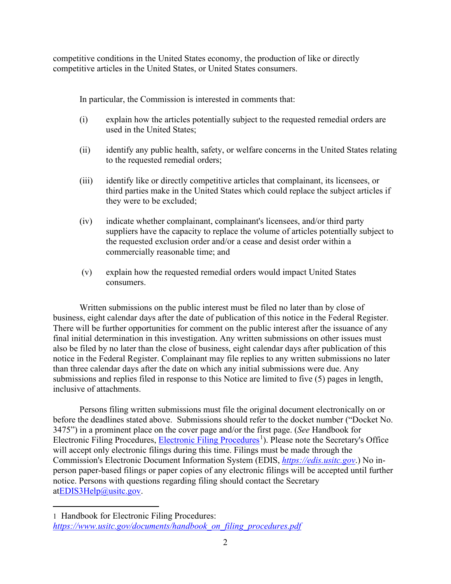competitive conditions in the United States economy, the production of like or directly competitive articles in the United States, or United States consumers.

In particular, the Commission is interested in comments that:

- (i) explain how the articles potentially subject to the requested remedial orders are used in the United States;
- (ii) identify any public health, safety, or welfare concerns in the United States relating to the requested remedial orders;
- (iii) identify like or directly competitive articles that complainant, its licensees, or third parties make in the United States which could replace the subject articles if they were to be excluded;
- (iv) indicate whether complainant, complainant's licensees, and/or third party suppliers have the capacity to replace the volume of articles potentially subject to the requested exclusion order and/or a cease and desist order within a commercially reasonable time; and
- (v) explain how the requested remedial orders would impact United States consumers.

Written submissions on the public interest must be filed no later than by close of business, eight calendar days after the date of publication of this notice in the Federal Register. There will be further opportunities for comment on the public interest after the issuance of any final initial determination in this investigation. Any written submissions on other issues must also be filed by no later than the close of business, eight calendar days after publication of this notice in the Federal Register. Complainant may file replies to any written submissions no later than three calendar days after the date on which any initial submissions were due. Any submissions and replies filed in response to this Notice are limited to five (5) pages in length, inclusive of attachments.

Persons filing written submissions must file the original document electronically on or before the deadlines stated above. Submissions should refer to the docket number ("Docket No. 3475") in a prominent place on the cover page and/or the first page. (*See* Handbook for Electronic Filing Procedures, [Electronic Filing Procedures](https://www.usitc.gov/documents/handbook_on_filing_procedures.pdf)<sup>[1](#page-1-0)</sup>). Please note the Secretary's Office will accept only electronic filings during this time. Filings must be made through the Commission's Electronic Document Information System (EDIS, *[https://edis.usitc.gov](https://edis.usitc.gov/)*.) No inperson paper-based filings or paper copies of any electronic filings will be accepted until further notice. Persons with questions regarding filing should contact the Secretary a[tEDIS3Help@usitc.gov.](mailto:EDIS3Help@usitc.gov)

<span id="page-1-0"></span><sup>1</sup> Handbook for Electronic Filing Procedures: *[https://www.usitc.gov/documents/handbook\\_on\\_filing\\_procedures.pdf](https://www.usitc.gov/documents/handbook_on_filing_procedures.pdf)*